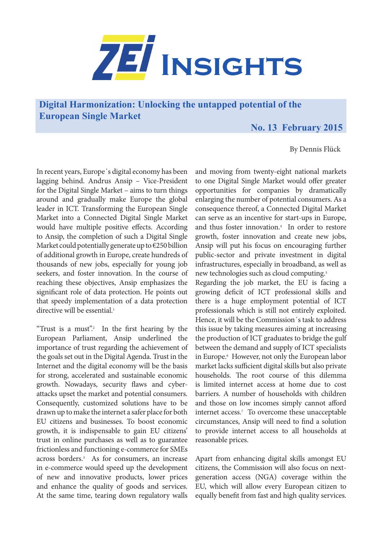

**Digital Harmonization: Unlocking the untapped potential of the European Single Market**

## **No. 13 February 2015**

By Dennis Flück

In recent years, Europe´s digital economy has been lagging behind. Andrus Ansip – Vice-President for the Digital Single Market – aims to turn things around and gradually make Europe the global leader in ICT. Transforming the European Single Market into a Connected Digital Single Market would have multiple positive effects. According to Ansip, the completion of such a Digital Single Market could potentially generate up to  $\epsilon$ 250 billion of additional growth in Europe, create hundreds of thousands of new jobs, especially for young job seekers, and foster innovation. In the course of reaching these objectives, Ansip emphasizes the significant role of data protection. He points out that speedy implementation of a data protection directive will be essential.<sup>1</sup>

"Trust is a must".<sup>2</sup> In the first hearing by the European Parliament, Ansip underlined the importance of trust regarding the achievement of the goals set out in the Digital Agenda. Trust in the Internet and the digital economy will be the basis for strong, accelerated and sustainable economic growth. Nowadays, security flaws and cyberattacks upset the market and potential consumers. Consequently, customized solutions have to be drawn up to make the internet a safer place for both EU citizens and businesses. To boost economic growth, it is indispensable to gain EU citizens' trust in online purchases as well as to guarantee frictionless and functioning e-commerce for SMEs across borders.3 As for consumers, an increase in e-commerce would speed up the development of new and innovative products, lower prices and enhance the quality of goods and services. At the same time, tearing down regulatory walls

and moving from twenty-eight national markets to one Digital Single Market would offer greater opportunities for companies by dramatically enlarging the number of potential consumers. As a consequence thereof, a Connected Digital Market can serve as an incentive for start-ups in Europe, and thus foster innovation.<sup>4</sup> In order to restore growth, foster innovation and create new jobs, Ansip will put his focus on encouraging further public-sector and private investment in digital infrastructures, especially in broadband, as well as new technologies such as cloud computing.<sup>5</sup>

Regarding the job market, the EU is facing a growing deficit of ICT professional skills and there is a huge employment potential of ICT professionals which is still not entirely exploited. Hence, it will be the Commission´s task to address this issue by taking measures aiming at increasing the production of ICT graduates to bridge the gulf between the demand and supply of ICT specialists in Europe.6 However, not only the European labor market lacks sufficient digital skills but also private households. The root course of this dilemma is limited internet access at home due to cost barriers. A number of households with children and those on low incomes simply cannot afford internet access.<sup>7</sup> To overcome these unacceptable circumstances, Ansip will need to find a solution to provide internet access to all households at reasonable prices.

Apart from enhancing digital skills amongst EU citizens, the Commission will also focus on nextgeneration access (NGA) coverage within the EU, which will allow every European citizen to equally benefit from fast and high quality services.